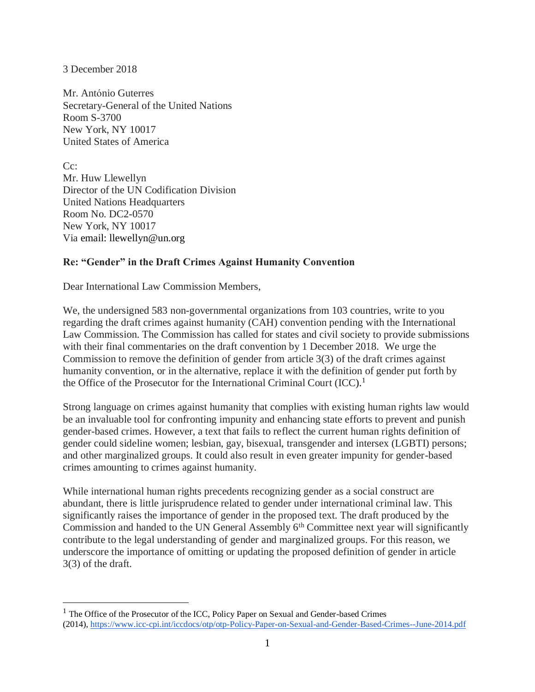3 December 2018

 $\overline{a}$ 

Mr. António Guterres Secretary-General of the United Nations Room S-3700 New York, NY 10017 United States of America

 $Cc$ : Mr. Huw Llewellyn Director of the UN Codification Division United Nations Headquarters Room No. DC2-0570 New York, NY 10017 Via email: llewellyn@un.org

## **Re: "Gender" in the Draft Crimes Against Humanity Convention**

Dear International Law Commission Members,

We, the undersigned 583 non-governmental organizations from 103 countries, write to you regarding the draft crimes against humanity (CAH) convention pending with the International Law Commission. The Commission has called for states and civil society to provide submissions with their final commentaries on the draft convention by 1 December 2018. We urge the Commission to remove the definition of gender from article 3(3) of the draft crimes against humanity convention, or in the alternative, replace it with the definition of gender put forth by the Office of the Prosecutor for the International Criminal Court (ICC).<sup>1</sup>

Strong language on crimes against humanity that complies with existing human rights law would be an invaluable tool for confronting impunity and enhancing state efforts to prevent and punish gender-based crimes. However, a text that fails to reflect the current human rights definition of gender could sideline women; lesbian, gay, bisexual, transgender and intersex (LGBTI) persons; and other marginalized groups. It could also result in even greater impunity for gender-based crimes amounting to crimes against humanity.

While international human rights precedents recognizing gender as a social construct are abundant, there is little jurisprudence related to gender under international criminal law. This significantly raises the importance of gender in the proposed text. The draft produced by the Commission and handed to the UN General Assembly 6<sup>th</sup> Committee next year will significantly contribute to the legal understanding of gender and marginalized groups. For this reason, we underscore the importance of omitting or updating the proposed definition of gender in article 3(3) of the draft.

<sup>&</sup>lt;sup>1</sup> The Office of the Prosecutor of the ICC, Policy Paper on Sexual and Gender-based Crimes (2014), <https://www.icc-cpi.int/iccdocs/otp/otp-Policy-Paper-on-Sexual-and-Gender-Based-Crimes--June-2014.pdf>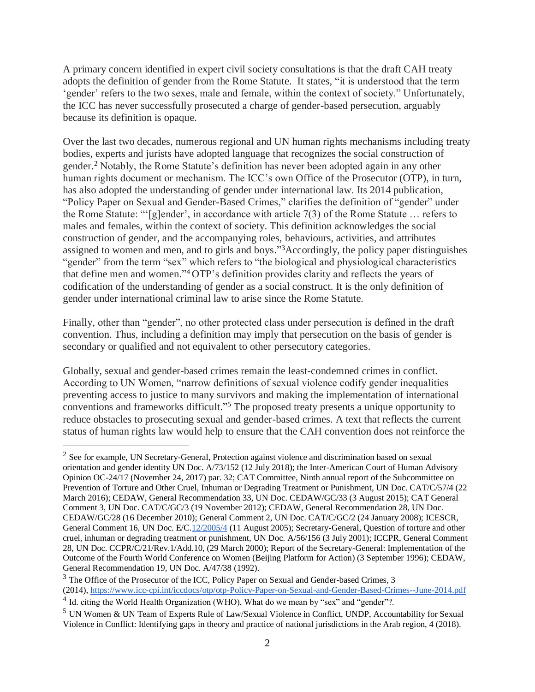A primary concern identified in expert civil society consultations is that the draft CAH treaty adopts the definition of gender from the Rome Statute. It states, "it is understood that the term 'gender' refers to the two sexes, male and female, within the context of society." Unfortunately, the ICC has never successfully prosecuted a charge of gender-based persecution, arguably because its definition is opaque.

Over the last two decades, numerous regional and UN human rights mechanisms including treaty bodies, experts and jurists have adopted language that recognizes the social construction of gender. <sup>2</sup> Notably, the Rome Statute's definition has never been adopted again in any other human rights document or mechanism. The ICC's own Office of the Prosecutor (OTP), in turn, has also adopted the understanding of gender under international law. Its 2014 publication, "Policy Paper on Sexual and Gender-Based Crimes," clarifies the definition of "gender" under the Rome Statute: "'[g]ender', in accordance with article 7(3) of the Rome Statute … refers to males and females, within the context of society. This definition acknowledges the social construction of gender, and the accompanying roles, behaviours, activities, and attributes assigned to women and men, and to girls and boys."<sup>3</sup>Accordingly, the policy paper distinguishes "gender" from the term "sex" which refers to "the biological and physiological characteristics that define men and women."<sup>4</sup> OTP's definition provides clarity and reflects the years of codification of the understanding of gender as a social construct. It is the only definition of gender under international criminal law to arise since the Rome Statute.

Finally, other than "gender", no other protected class under persecution is defined in the draft convention. Thus, including a definition may imply that persecution on the basis of gender is secondary or qualified and not equivalent to other persecutory categories.

Globally, sexual and gender-based crimes remain the least-condemned crimes in conflict. According to UN Women, "narrow definitions of sexual violence codify gender inequalities preventing access to justice to many survivors and making the implementation of international conventions and frameworks difficult."<sup>5</sup> The proposed treaty presents a unique opportunity to reduce obstacles to prosecuting sexual and gender-based crimes. A text that reflects the current status of human rights law would help to ensure that the CAH convention does not reinforce the

<sup>3</sup> The Office of the Prosecutor of the ICC, Policy Paper on Sexual and Gender-based Crimes, 3

 $\overline{a}$ 

<sup>2</sup> See for example, UN Secretary-General, Protection against violence and discrimination based on sexual orientation and gender identity UN Doc. A/73/152 (12 July 2018); the Inter-American Court of Human Advisory Opinion OC-24/17 (November 24, 2017) par. 32; CAT Committee, Ninth annual report of the Subcommittee on Prevention of Torture and Other Cruel, Inhuman or Degrading Treatment or Punishment, UN Doc. CAT/C/57/4 (22 March 2016); CEDAW, General Recommendation 33, UN Doc. CEDAW/GC/33 (3 August 2015); CAT General Comment 3, UN Doc. CAT/C/GC/3 (19 November 2012); CEDAW, General Recommendation 28, UN Doc. CEDAW/GC/28 (16 December 2010); General Comment 2, UN Doc. CAT/C/GC/2 (24 January 2008); ICESCR, General Comment 16, UN Doc. E/C[.12/2005/4](tel:12/2005/4) (11 August 2005); Secretary-General, Question of torture and other cruel, inhuman or degrading treatment or punishment, UN Doc. A/56/156 (3 July 2001); ICCPR, General Comment 28, UN Doc. CCPR/C/21/Rev.1/Add.10, (29 March 2000); Report of the Secretary-General: Implementation of the Outcome of the Fourth World Conference on Women (Beijing Platform for Action) (3 September 1996); CEDAW, General Recommendation 19, UN Doc. A/47/38 (1992).

<sup>(2014),</sup> <https://www.icc-cpi.int/iccdocs/otp/otp-Policy-Paper-on-Sexual-and-Gender-Based-Crimes--June-2014.pdf>

<sup>&</sup>lt;sup>4</sup> Id. citing the World Health Organization (WHO), What do we mean by "sex" and "gender"?.

<sup>5</sup> UN Women & UN Team of Experts Rule of Law/Sexual Violence in Conflict, UNDP, Accountability for Sexual Violence in Conflict: Identifying gaps in theory and practice of national jurisdictions in the Arab region, 4 (2018).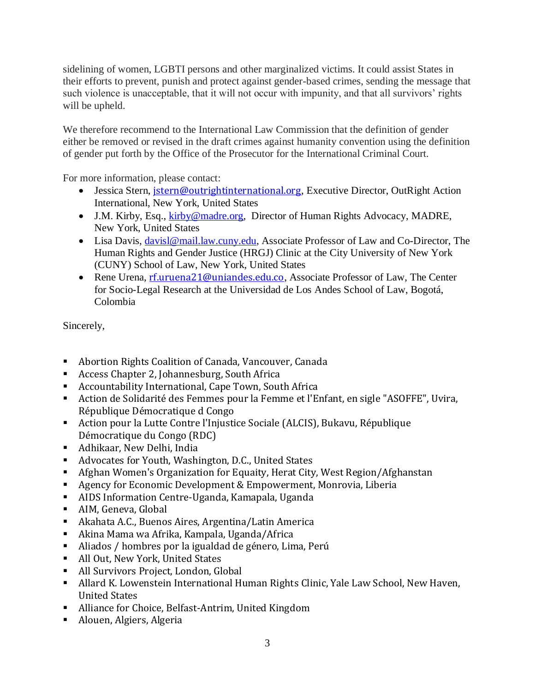sidelining of women, LGBTI persons and other marginalized victims. It could assist States in their efforts to prevent, punish and protect against gender-based crimes, sending the message that such violence is unacceptable, that it will not occur with impunity, and that all survivors' rights will be upheld.

We therefore recommend to the International Law Commission that the definition of gender either be removed or revised in the draft crimes against humanity convention using the definition of gender put forth by the Office of the Prosecutor for the International Criminal Court.

For more information, please contact:

- Jessica Stern, [jstern@outrightinternational.org](mailto:jstern@outrightinternational.org), Executive Director, OutRight Action International, New York, United States
- J.M. Kirby, Esq., [kirby@madre.org,](mailto:kirby@madre.org) Director of Human Rights Advocacy, MADRE, New York, United States
- Lisa Davis, [davisl@mail.law.cuny.edu,](mailto:davisl@mail.law.cuny.edu) Associate Professor of Law and Co-Director, The Human Rights and Gender Justice (HRGJ) Clinic at the City University of New York (CUNY) School of Law, New York, United States
- Rene Urena, [rf.uruena21@uniandes.edu.co](mailto:rf.uruena21@uniandes.edu.co), Associate Professor of Law, The Center for Socio-Legal Research at the Universidad de Los Andes School of Law, Bogotá, Colombia

Sincerely,

- Abortion Rights Coalition of Canada, Vancouver, Canada
- Access Chapter 2, Johannesburg, South Africa
- Accountability International, Cape Town, South Africa
- Action de Solidarité des Femmes pour la Femme et l'Enfant, en sigle "ASOFFE", Uvira, République Démocratique d Congo
- Action pour la Lutte Contre l'Injustice Sociale (ALCIS), Bukavu, République Démocratique du Congo (RDC)
- Adhikaar, New Delhi, India
- Advocates for Youth, Washington, D.C., United States
- Afghan Women's Organization for Equaity, Herat City, West Region/Afghanstan
- Agency for Economic Development & Empowerment, Monrovia, Liberia
- AIDS Information Centre-Uganda, Kamapala, Uganda
- AIM, Geneva, Global
- Akahata A.C., Buenos Aires, Argentina/Latin America
- Akina Mama wa Afrika, Kampala, Uganda/Africa
- Aliados / hombres por la igualdad de género, Lima, Perú
- All Out, New York, United States
- All Survivors Project, London, Global
- Allard K. Lowenstein International Human Rights Clinic, Yale Law School, New Haven, United States
- Alliance for Choice, Belfast-Antrim, United Kingdom
- Alouen, Algiers, Algeria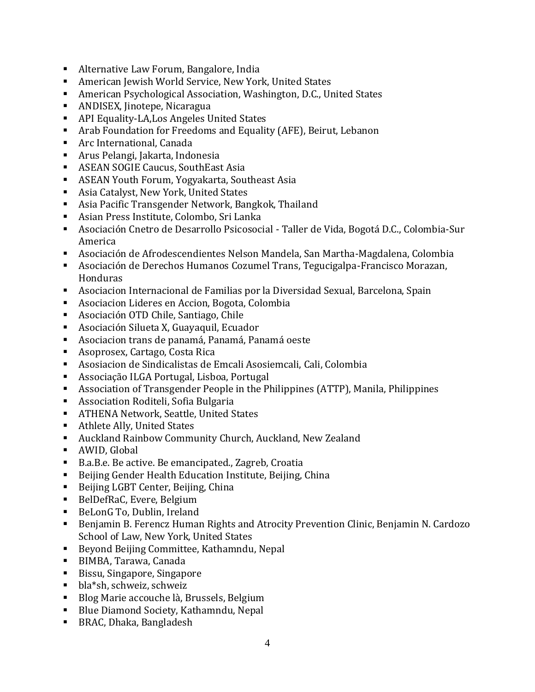- Alternative Law Forum, Bangalore, India
- American Jewish World Service, New York, United States
- American Psychological Association, Washington, D.C., United States
- ANDISEX, Jinotepe, Nicaragua
- API Equality-LA,Los Angeles United States
- Arab Foundation for Freedoms and Equality (AFE), Beirut, Lebanon
- Arc International, Canada
- Arus Pelangi, Jakarta, Indonesia
- ASEAN SOGIE Caucus, SouthEast Asia
- ASEAN Youth Forum, Yogyakarta, Southeast Asia
- Asia Catalyst, New York, United States
- Asia Pacific Transgender Network, Bangkok, Thailand
- Asian Press Institute, Colombo, Sri Lanka
- Asociación Cnetro de Desarrollo Psicosocial Taller de Vida, Bogotá D.C., Colombia-Sur America
- Asociación de Afrodescendientes Nelson Mandela, San Martha-Magdalena, Colombia
- Asociación de Derechos Humanos Cozumel Trans, Tegucigalpa-Francisco Morazan, Honduras
- Asociacion Internacional de Familias por la Diversidad Sexual, Barcelona, Spain
- Asociacion Lideres en Accion, Bogota, Colombia
- Asociación OTD Chile, Santiago, Chile
- Asociación Silueta X, Guayaquil, Ecuador
- Asociacion trans de panamá, Panamá, Panamá oeste
- Asoprosex, Cartago, Costa Rica
- Asosiacion de Sindicalistas de Emcali Asosiemcali, Cali, Colombia
- Associação ILGA Portugal, Lisboa, Portugal
- Association of Transgender People in the Philippines (ATTP), Manila, Philippines
- Association Roditeli, Sofia Bulgaria
- **EXECUTE ATHENA Network, Seattle, United States**
- Athlete Ally, United States
- Auckland Rainbow Community Church, Auckland, New Zealand
- AWID, Global
- B.a.B.e. Be active. Be emancipated., Zagreb, Croatia
- Beijing Gender Health Education Institute, Beijing, China
- Beijing LGBT Center, Beijing, China
- BelDefRaC, Evere, Belgium
- BeLonG To, Dublin, Ireland
- Benjamin B. Ferencz Human Rights and Atrocity Prevention Clinic, Benjamin N. Cardozo School of Law, New York, United States
- Beyond Beijing Committee, Kathamndu, Nepal
- BIMBA, Tarawa, Canada
- Bissu, Singapore, Singapore
- bla\*sh, schweiz, schweiz
- Blog Marie accouche là, Brussels, Belgium
- Blue Diamond Society, Kathamndu, Nepal
- BRAC, Dhaka, Bangladesh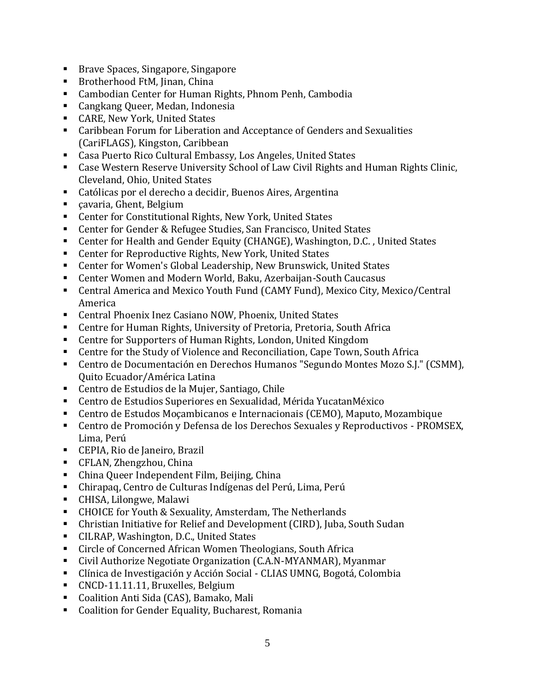- Brave Spaces, Singapore, Singapore
- Brotherhood FtM, Jinan, China
- Cambodian Center for Human Rights, Phnom Penh, Cambodia
- Cangkang Queer, Medan, Indonesia
- CARE, New York, United States
- Caribbean Forum for Liberation and Acceptance of Genders and Sexualities (CariFLAGS), Kingston, Caribbean
- Casa Puerto Rico Cultural Embassy, Los Angeles, United States
- Case Western Reserve University School of Law Civil Rights and Human Rights Clinic, Cleveland, Ohio, United States
- Católicas por el derecho a decidir, Buenos Aires, Argentina
- cavaria, Ghent, Belgium
- Center for Constitutional Rights, New York, United States
- Center for Gender & Refugee Studies, San Francisco, United States
- Center for Health and Gender Equity (CHANGE), Washington, D.C. , United States
- Center for Reproductive Rights, New York, United States
- Center for Women's Global Leadership, New Brunswick, United States
- Center Women and Modern World, Baku, Azerbaijan-South Caucasus
- Central America and Mexico Youth Fund (CAMY Fund), Mexico City, Mexico/Central America
- Central Phoenix Inez Casiano NOW, Phoenix, United States
- Centre for Human Rights, University of Pretoria, Pretoria, South Africa
- Centre for Supporters of Human Rights, London, United Kingdom
- Centre for the Study of Violence and Reconciliation, Cape Town, South Africa
- Centro de Documentación en Derechos Humanos "Segundo Montes Mozo S.J." (CSMM), Quito Ecuador/América Latina
- Centro de Estudios de la Mujer, Santiago, Chile
- Centro de Estudios Superiores en Sexualidad, Mérida YucatanMéxico
- Centro de Estudos Moçambicanos e Internacionais (CEMO), Maputo, Mozambique
- Centro de Promoción y Defensa de los Derechos Sexuales y Reproductivos PROMSEX, Lima, Perú
- CEPIA, Rio de Janeiro, Brazil
- CFLAN, Zhengzhou, China
- China Queer Independent Film, Beijing, China
- Chirapaq, Centro de Culturas Indígenas del Perú, Lima, Perú
- CHISA, Lilongwe, Malawi
- CHOICE for Youth & Sexuality, Amsterdam, The Netherlands
- Christian Initiative for Relief and Development (CIRD), Juba, South Sudan
- CILRAP, Washington, D.C., United States
- Circle of Concerned African Women Theologians, South Africa
- Civil Authorize Negotiate Organization (C.A.N-MYANMAR), Myanmar
- Clínica de Investigación y Acción Social CLIAS UMNG, Bogotá, Colombia
- CNCD-11.11.11, Bruxelles, Belgium
- Coalition Anti Sida (CAS), Bamako, Mali
- Coalition for Gender Equality, Bucharest, Romania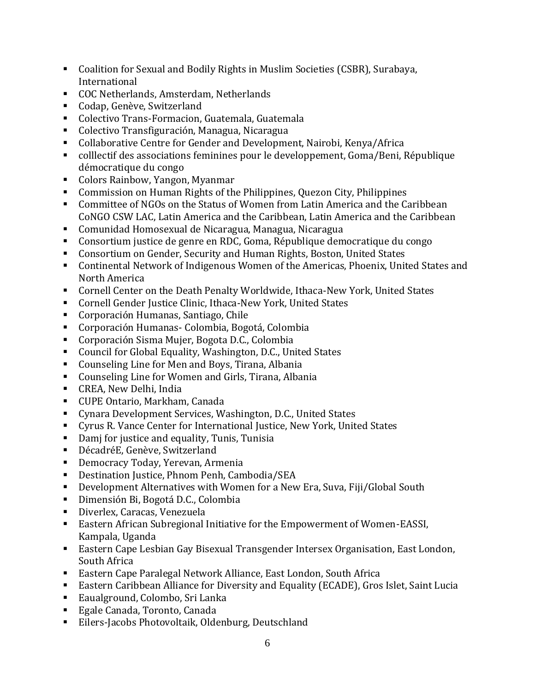- Coalition for Sexual and Bodily Rights in Muslim Societies (CSBR), Surabaya, International
- COC Netherlands, Amsterdam, Netherlands
- Codap, Genève, Switzerland
- Colectivo Trans-Formacion, Guatemala, Guatemala
- Colectivo Transfiguración, Managua, Nicaragua
- Collaborative Centre for Gender and Development, Nairobi, Kenya/Africa
- colllectif des associations feminines pour le developpement, Goma/Beni, République démocratique du congo
- Colors Rainbow, Yangon, Myanmar
- Commission on Human Rights of the Philippines, Quezon City, Philippines
- Committee of NGOs on the Status of Women from Latin America and the Caribbean CoNGO CSW LAC, Latin America and the Caribbean, Latin America and the Caribbean
- Comunidad Homosexual de Nicaragua, Managua, Nicaragua
- Consortium justice de genre en RDC, Goma, République democratique du congo
- Consortium on Gender, Security and Human Rights, Boston, United States
- Continental Network of Indigenous Women of the Americas, Phoenix, United States and North America
- Cornell Center on the Death Penalty Worldwide, Ithaca-New York, United States
- Cornell Gender Justice Clinic, Ithaca-New York, United States
- Corporación Humanas, Santiago, Chile
- Corporación Humanas- Colombia, Bogotá, Colombia
- Corporación Sisma Mujer, Bogota D.C., Colombia
- Council for Global Equality, Washington, D.C., United States
- Counseling Line for Men and Boys, Tirana, Albania
- Counseling Line for Women and Girls, Tirana, Albania
- CREA, New Delhi, India
- CUPE Ontario, Markham, Canada
- Cynara Development Services, Washington, D.C., United States
- Cyrus R. Vance Center for International Justice, New York, United States
- Damj for justice and equality, Tunis, Tunisia
- DécadréE, Genève, Switzerland
- Democracy Today, Yerevan, Armenia
- Destination Justice, Phnom Penh, Cambodia/SEA
- Development Alternatives with Women for a New Era, Suva, Fiji/Global South
- **·** Dimensión Bi, Bogotá D.C., Colombia
- Diverlex, Caracas, Venezuela
- Eastern African Subregional Initiative for the Empowerment of Women-EASSI, Kampala, Uganda
- Eastern Cape Lesbian Gay Bisexual Transgender Intersex Organisation, East London, South Africa
- Eastern Cape Paralegal Network Alliance, East London, South Africa
- Eastern Caribbean Alliance for Diversity and Equality (ECADE), Gros Islet, Saint Lucia
- Eaualground, Colombo, Sri Lanka
- Egale Canada, Toronto, Canada
- Eilers-Jacobs Photovoltaik, Oldenburg, Deutschland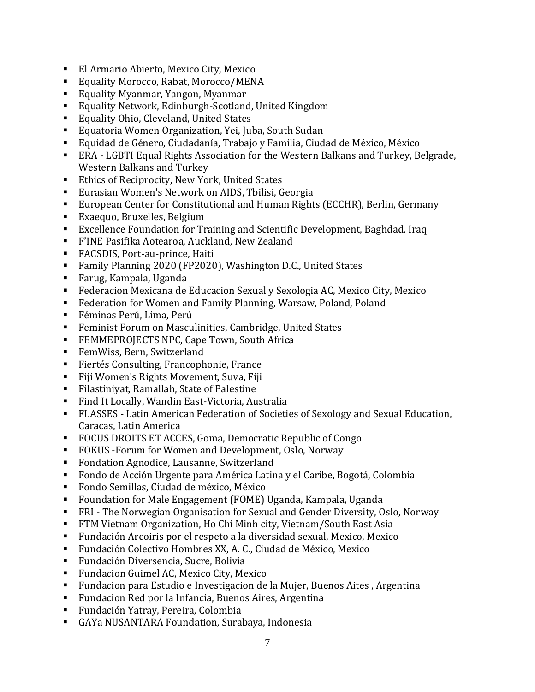- El Armario Abierto, Mexico City, Mexico
- Equality Morocco, Rabat, Morocco/MENA
- Equality Myanmar, Yangon, Myanmar
- Equality Network, Edinburgh-Scotland, United Kingdom
- Equality Ohio, Cleveland, United States
- Equatoria Women Organization, Yei, Juba, South Sudan
- Equidad de Género, Ciudadanía, Trabajo y Familia, Ciudad de México, México
- ERA LGBTI Equal Rights Association for the Western Balkans and Turkey, Belgrade, Western Balkans and Turkey
- Ethics of Reciprocity, New York, United States
- Eurasian Women's Network on AIDS, Tbilisi, Georgia
- European Center for Constitutional and Human Rights (ECCHR), Berlin, Germany
- Exaequo, Bruxelles, Belgium
- Excellence Foundation for Training and Scientific Development, Baghdad, Iraq
- F'INE Pasifika Aotearoa, Auckland, New Zealand
- FACSDIS, Port-au-prince, Haiti
- Family Planning 2020 (FP2020), Washington D.C., United States
- Farug, Kampala, Uganda
- Federacion Mexicana de Educacion Sexual y Sexologia AC, Mexico City, Mexico
- Federation for Women and Family Planning, Warsaw, Poland, Poland
- Féminas Perú, Lima, Perú
- Feminist Forum on Masculinities, Cambridge, United States
- **FEMMEPROJECTS NPC, Cape Town, South Africa**
- FemWiss, Bern, Switzerland
- Fiertés Consulting, Francophonie, France
- Fiji Women's Rights Movement, Suva, Fiji
- Filastiniyat, Ramallah, State of Palestine
- Find It Locally, Wandin East-Victoria, Australia
- FLASSES Latin American Federation of Societies of Sexology and Sexual Education, Caracas, Latin America
- FOCUS DROITS ET ACCES, Goma, Democratic Republic of Congo
- FOKUS Forum for Women and Development, Oslo, Norway
- Fondation Agnodice, Lausanne, Switzerland
- Fondo de Acción Urgente para América Latina y el Caribe, Bogotá, Colombia
- Fondo Semillas, Ciudad de méxico, México
- Foundation for Male Engagement (FOME) Uganda, Kampala, Uganda
- FRI The Norwegian Organisation for Sexual and Gender Diversity, Oslo, Norway
- FTM Vietnam Organization, Ho Chi Minh city, Vietnam/South East Asia
- Fundación Arcoiris por el respeto a la diversidad sexual, Mexico, Mexico
- Fundación Colectivo Hombres XX, A. C., Ciudad de México, Mexico
- Fundación Diversencia, Sucre, Bolivia
- Fundacion Guimel AC, Mexico City, Mexico
- Fundacion para Estudio e Investigacion de la Mujer, Buenos Aites, Argentina
- Fundacion Red por la Infancia, Buenos Aires, Argentina
- Fundación Yatray, Pereira, Colombia
- GAYa NUSANTARA Foundation, Surabaya, Indonesia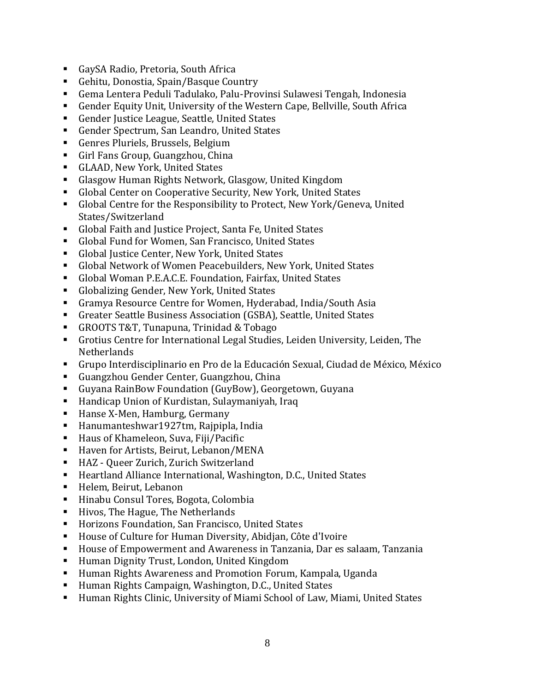- GaySA Radio, Pretoria, South Africa
- Gehitu, Donostia, Spain/Basque Country
- Gema Lentera Peduli Tadulako, Palu-Provinsi Sulawesi Tengah, Indonesia
- Gender Equity Unit, University of the Western Cape, Bellyille, South Africa
- Gender Justice League, Seattle, United States
- Gender Spectrum, San Leandro, United States
- Genres Pluriels, Brussels, Belgium
- Girl Fans Group, Guangzhou, China
- GLAAD, New York, United States
- Glasgow Human Rights Network, Glasgow, United Kingdom
- Global Center on Cooperative Security, New York, United States
- Global Centre for the Responsibility to Protect, New York/Geneva, United States/Switzerland
- Global Faith and Justice Project, Santa Fe, United States
- Global Fund for Women, San Francisco, United States
- Global Justice Center, New York, United States
- Global Network of Women Peacebuilders, New York, United States
- Global Woman P.E.A.C.E. Foundation, Fairfax, United States
- Globalizing Gender, New York, United States
- Gramya Resource Centre for Women, Hyderabad, India/South Asia
- Greater Seattle Business Association (GSBA), Seattle, United States
- GROOTS T&T, Tunapuna, Trinidad & Tobago
- Grotius Centre for International Legal Studies, Leiden University, Leiden, The **Netherlands**
- Grupo Interdisciplinario en Pro de la Educación Sexual, Ciudad de México, México
- Guangzhou Gender Center, Guangzhou, China
- Guyana RainBow Foundation (GuyBow), Georgetown, Guyana
- Handicap Union of Kurdistan, Sulaymaniyah, Iraq
- Hanse X-Men, Hamburg, Germany
- Hanumanteshwar1927tm, Rajpipla, India
- Haus of Khameleon, Suva, Fiji/Pacific
- Haven for Artists, Beirut, Lebanon/MENA
- HAZ Queer Zurich, Zurich Switzerland
- Heartland Alliance International, Washington, D.C., United States
- Helem, Beirut, Lebanon
- Hinabu Consul Tores, Bogota, Colombia
- Hivos, The Hague, The Netherlands
- Horizons Foundation, San Francisco, United States
- House of Culture for Human Diversity, Abidjan, Côte d'Ivoire
- House of Empowerment and Awareness in Tanzania, Dar es salaam, Tanzania
- Human Dignity Trust, London, United Kingdom
- Human Rights Awareness and Promotion Forum, Kampala, Uganda
- Human Rights Campaign, Washington, D.C., United States
- Human Rights Clinic, University of Miami School of Law, Miami, United States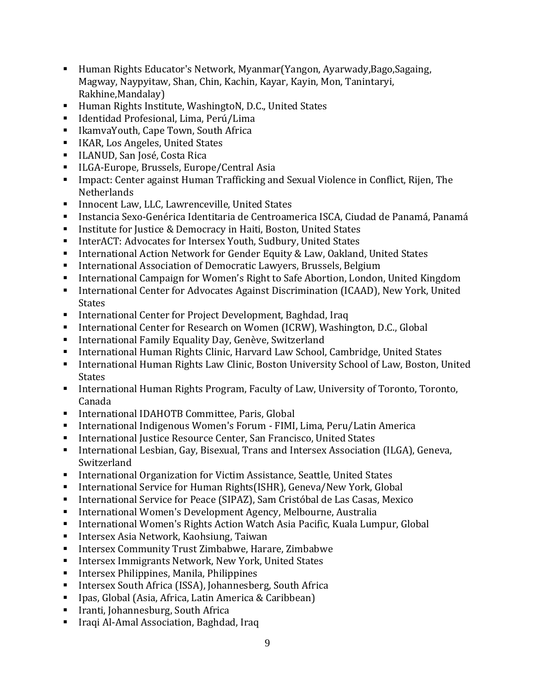- Human Rights Educator's Network, Myanmar(Yangon, Ayarwady,Bago,Sagaing, Magway, Naypyitaw, Shan, Chin, Kachin, Kayar, Kayin, Mon, Tanintaryi, Rakhine,Mandalay)
- Human Rights Institute, WashingtoN, D.C., United States
- Identidad Profesional, Lima, Perú/Lima
- IkamvaYouth, Cape Town, South Africa
- IKAR, Los Angeles, United States
- ILANUD, San José, Costa Rica
- ILGA-Europe, Brussels, Europe/Central Asia
- Impact: Center against Human Trafficking and Sexual Violence in Conflict, Rijen, The Netherlands
- Innocent Law, LLC, Lawrenceville, United States
- Instancia Sexo-Genérica Identitaria de Centroamerica ISCA, Ciudad de Panamá, Panamá
- Institute for Justice & Democracy in Haiti, Boston, United States
- InterACT: Advocates for Intersex Youth, Sudbury, United States
- International Action Network for Gender Equity & Law, Oakland, United States
- International Association of Democratic Lawyers, Brussels, Belgium
- International Campaign for Women's Right to Safe Abortion, London, United Kingdom
- **International Center for Advocates Against Discrimination (ICAAD), New York, United** States
- International Center for Project Development, Baghdad, Iraq
- International Center for Research on Women (ICRW), Washington, D.C., Global
- International Family Equality Day, Genève, Switzerland
- International Human Rights Clinic, Harvard Law School, Cambridge, United States
- International Human Rights Law Clinic, Boston University School of Law, Boston, United **States**
- International Human Rights Program, Faculty of Law, University of Toronto, Toronto, Canada
- International IDAHOTB Committee, Paris, Global
- International Indigenous Women's Forum FIMI, Lima, Peru/Latin America
- International Justice Resource Center, San Francisco, United States
- International Lesbian, Gay, Bisexual, Trans and Intersex Association (ILGA), Geneva, Switzerland
- International Organization for Victim Assistance, Seattle, United States
- International Service for Human Rights(ISHR), Geneva/New York, Global
- International Service for Peace (SIPAZ), Sam Cristóbal de Las Casas, Mexico
- International Women's Development Agency, Melbourne, Australia
- International Women's Rights Action Watch Asia Pacific, Kuala Lumpur, Global
- Intersex Asia Network, Kaohsiung, Taiwan
- Intersex Community Trust Zimbabwe, Harare, Zimbabwe
- Intersex Immigrants Network, New York, United States
- Intersex Philippines, Manila, Philippines
- Intersex South Africa (ISSA), Johannesberg, South Africa
- Ipas, Global (Asia, Africa, Latin America & Caribbean)
- Iranti, Johannesburg, South Africa
- Iraqi Al-Amal Association, Baghdad, Iraq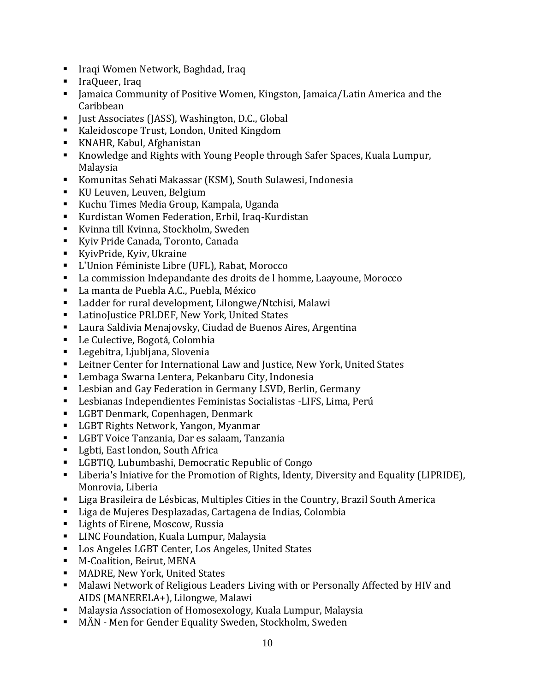- Iraqi Women Network, Baghdad, Iraq
- IraQueer, Iraq
- Jamaica Community of Positive Women, Kingston, Jamaica/Latin America and the Caribbean
- Just Associates (JASS), Washington, D.C., Global
- Kaleidoscope Trust, London, United Kingdom
- KNAHR, Kabul, Afghanistan
- Knowledge and Rights with Young People through Safer Spaces, Kuala Lumpur, Malaysia
- Komunitas Sehati Makassar (KSM), South Sulawesi, Indonesia
- KU Leuven, Leuven, Belgium
- Kuchu Times Media Group, Kampala, Uganda
- Kurdistan Women Federation, Erbil, Iraq-Kurdistan
- Kvinna till Kvinna, Stockholm, Sweden
- Kyiy Pride Canada, Toronto, Canada
- KyivPride, Kyiv, Ukraine
- L'Union Féministe Libre (UFL), Rabat, Morocco
- La commission Indepandante des droits de l homme, Laayoune, Morocco
- La manta de Puebla A.C., Puebla, México
- Ladder for rural development, Lilongwe/Ntchisi, Malawi
- LatinoJustice PRLDEF, New York, United States
- Laura Saldivia Menajovsky, Ciudad de Buenos Aires, Argentina
- Le Culective, Bogotá, Colombia
- Legebitra, Ljubljana, Slovenia
- Leitner Center for International Law and Justice, New York, United States
- Lembaga Swarna Lentera, Pekanbaru City, Indonesia
- Lesbian and Gay Federation in Germany LSVD, Berlin, Germany
- Lesbianas Independientes Feministas Socialistas -LIFS, Lima, Perú
- LGBT Denmark, Copenhagen, Denmark
- LGBT Rights Network, Yangon, Myanmar
- LGBT Voice Tanzania, Dar es salaam, Tanzania
- Lgbti, East london, South Africa
- LGBTIQ, Lubumbashi, Democratic Republic of Congo
- Liberia's Iniative for the Promotion of Rights, Identy, Diversity and Equality (LIPRIDE), Monrovia, Liberia
- Liga Brasileira de Lésbicas, Multiples Cities in the Country, Brazil South America
- Liga de Mujeres Desplazadas, Cartagena de Indias, Colombia
- Lights of Eirene, Moscow, Russia
- LINC Foundation, Kuala Lumpur, Malaysia
- Los Angeles LGBT Center, Los Angeles, United States
- M-Coalition, Beirut, MENA
- MADRE, New York, United States
- Malawi Network of Religious Leaders Living with or Personally Affected by HIV and AIDS (MANERELA+), Lilongwe, Malawi
- Malaysia Association of Homosexology, Kuala Lumpur, Malaysia
- MÄN Men for Gender Equality Sweden, Stockholm, Sweden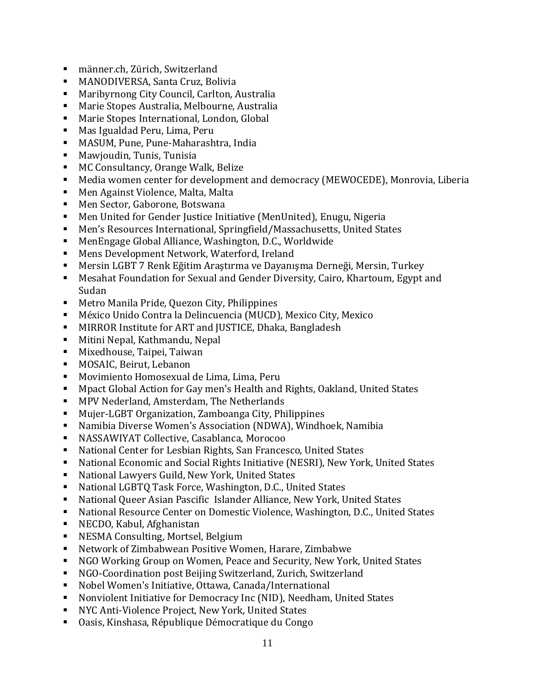- männer.ch, Zürich, Switzerland
- MANODIVERSA, Santa Cruz, Bolivia
- Maribyrnong City Council, Carlton, Australia
- Marie Stopes Australia, Melbourne, Australia
- Marie Stopes International, London, Global
- Mas Igualdad Peru, Lima, Peru
- MASUM, Pune, Pune-Maharashtra, India
- Mawjoudin, Tunis, Tunisia
- MC Consultancy, Orange Walk, Belize
- Media women center for development and democracy (MEWOCEDE), Monrovia, Liberia
- Men Against Violence, Malta, Malta
- Men Sector, Gaborone, Botswana
- Men United for Gender Justice Initiative (MenUnited), Enugu, Nigeria
- Men's Resources International, Springfield/Massachusetts, United States
- MenEngage Global Alliance, Washington, D.C., Worldwide
- Mens Development Network, Waterford, Ireland
- Mersin LGBT 7 Renk Eğitim Araştırma ve Dayanışma Derneği, Mersin, Turkey
- Mesahat Foundation for Sexual and Gender Diversity, Cairo, Khartoum, Egypt and Sudan
- Metro Manila Pride, Quezon City, Philippines
- México Unido Contra la Delincuencia (MUCD), Mexico City, Mexico
- MIRROR Institute for ART and IUSTICE, Dhaka, Bangladesh
- Mitini Nepal, Kathmandu, Nepal
- Mixedhouse, Taipei, Taiwan
- MOSAIC, Beirut, Lebanon
- Movimiento Homosexual de Lima, Lima, Peru
- Mpact Global Action for Gay men's Health and Rights, Oakland, United States
- MPV Nederland, Amsterdam, The Netherlands
- Mujer-LGBT Organization, Zamboanga City, Philippines
- Namibia Diverse Women's Association (NDWA), Windhoek, Namibia
- NASSAWIYAT Collective, Casablanca, Morocoo
- National Center for Lesbian Rights, San Francesco, United States
- National Economic and Social Rights Initiative (NESRI), New York, United States
- National Lawyers Guild, New York, United States
- National LGBTQ Task Force, Washington, D.C., United States
- National Queer Asian Pascific Islander Alliance, New York, United States
- National Resource Center on Domestic Violence, Washington, D.C., United States
- NECDO, Kabul, Afghanistan
- NESMA Consulting, Mortsel, Belgium
- Network of Zimbabwean Positive Women, Harare, Zimbabwe
- NGO Working Group on Women, Peace and Security, New York, United States
- NGO-Coordination post Beijing Switzerland, Zurich, Switzerland
- Nobel Women's Initiative, Ottawa, Canada/International
- Nonviolent Initiative for Democracy Inc (NID), Needham, United States
- NYC Anti-Violence Project, New York, United States
- Oasis, Kinshasa, République Démocratique du Congo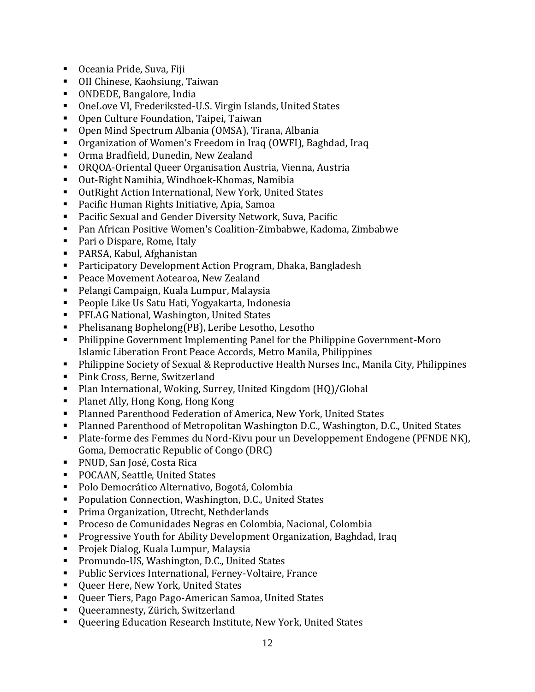- Oceania Pride, Suva, Fiji
- OII Chinese, Kaohsiung, Taiwan
- ONDEDE, Bangalore, India
- OneLove VI, Frederiksted-U.S. Virgin Islands, United States
- Open Culture Foundation, Taipei, Taiwan
- Open Mind Spectrum Albania (OMSA), Tirana, Albania
- Organization of Women's Freedom in Iraq (OWFI), Baghdad, Iraq
- Orma Bradfield, Dunedin, New Zealand
- ORQOA-Oriental Queer Organisation Austria, Vienna, Austria
- Out-Right Namibia, Windhoek-Khomas, Namibia
- OutRight Action International, New York, United States
- Pacific Human Rights Initiative, Apia, Samoa
- Pacific Sexual and Gender Diversity Network, Suva, Pacific
- Pan African Positive Women's Coalition-Zimbabwe, Kadoma, Zimbabwe
- Pari o Dispare, Rome, Italy
- PARSA, Kabul, Afghanistan
- Participatory Development Action Program, Dhaka, Bangladesh
- Peace Movement Aotearoa, New Zealand
- Pelangi Campaign, Kuala Lumpur, Malaysia
- People Like Us Satu Hati, Yogyakarta, Indonesia
- PFLAG National, Washington, United States
- Phelisanang Bophelong(PB), Leribe Lesotho, Lesotho
- Philippine Government Implementing Panel for the Philippine Government-Moro Islamic Liberation Front Peace Accords, Metro Manila, Philippines
- Philippine Society of Sexual & Reproductive Health Nurses Inc., Manila City, Philippines
- Pink Cross, Berne, Switzerland
- Plan International, Woking, Surrey, United Kingdom (HQ)/Global
- Planet Ally, Hong Kong, Hong Kong
- Planned Parenthood Federation of America, New York, United States
- Planned Parenthood of Metropolitan Washington D.C., Washington, D.C., United States
- Plate-forme des Femmes du Nord-Kivu pour un Developpement Endogene (PFNDE NK), Goma, Democratic Republic of Congo (DRC)
- PNUD, San José, Costa Rica
- POCAAN, Seattle, United States
- Polo Democrático Alternativo, Bogotá, Colombia
- Population Connection, Washington, D.C., United States
- Prima Organization, Utrecht, Nethderlands
- Proceso de Comunidades Negras en Colombia, Nacional, Colombia
- Progressive Youth for Ability Development Organization, Baghdad, Iraq
- Projek Dialog, Kuala Lumpur, Malaysia
- Promundo-US, Washington, D.C., United States
- Public Services International, Ferney-Voltaire, France
- Queer Here, New York, United States
- Queer Tiers, Pago Pago-American Samoa, United States
- Queeramnesty, Zürich, Switzerland
- Oueering Education Research Institute, New York, United States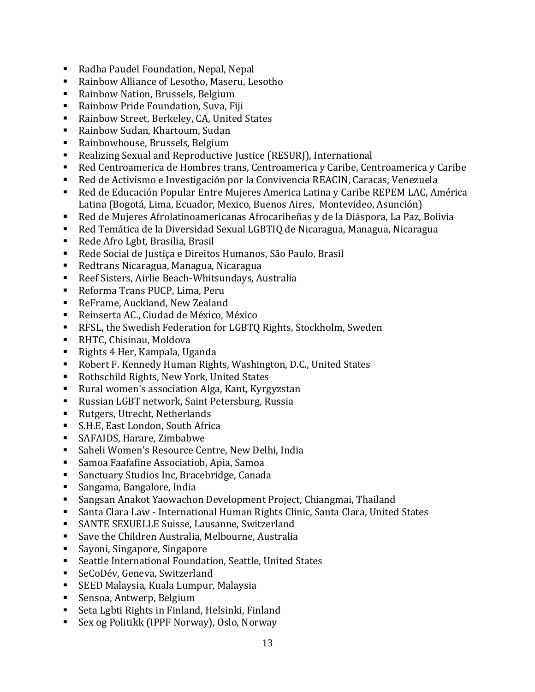- Radha Paudel Foundation, Nepal, Nepal
- Rainbow Alliance of Lesotho, Maseru, Lesotho
- Rainbow Nation, Brussels, Belgium
- Rainbow Pride Foundation, Suva, Fiji
- Rainbow Street, Berkeley, CA, United States
- Rainbow Sudan, Khartoum, Sudan
- Rainbowhouse, Brussels, Belgium
- Realizing Sexual and Reproductive Justice (RESURJ), International
- Red Centroamerica de Hombres trans, Centroamerica y Caribe, Centroamerica y Caribe
- Red de Activismo e Investigación por la Convivencia REACIN, Caracas, Venezuela
- Red de Educación Popular Entre Mujeres America Latina y Caribe REPEM LAC, América Latina (Bogotá, Lima, Ecuador, Mexico, Buenos Aires, Montevideo, Asunción)
- Red de Mujeres Afrolatinoamericanas Afrocaribeñas y de la Diáspora, La Paz, Bolivia
- Red Temática de la Diversidad Sexual LGBTIQ de Nicaragua, Managua, Nicaragua
- Rede Afro Lgbt, Brasilia, Brasil
- Rede Social de Justica e Direitos Humanos, São Paulo, Brasil
- Redtrans Nicaragua, Managua, Nicaragua
- Reef Sisters, Airlie Beach-Whitsundays, Australia
- Reforma Trans PUCP, Lima, Peru
- ReFrame, Auckland, New Zealand
- Reinserta AC., Ciudad de México, México
- RFSL, the Swedish Federation for LGBTQ Rights, Stockholm, Sweden
- RHTC, Chisinau, Moldova
- Rights 4 Her, Kampala, Uganda
- Robert F. Kennedy Human Rights, Washington, D.C., United States
- Rothschild Rights, New York, United States
- Rural women's association Alga, Kant, Kyrgyzstan
- Russian LGBT network, Saint Petersburg, Russia
- Rutgers, Utrecht, Netherlands
- S.H.E, East London, South Africa
- SAFAIDS, Harare, Zimbabwe
- Saheli Women's Resource Centre, New Delhi, India
- Samoa Faafafine Associatiob, Apia, Samoa
- Sanctuary Studios Inc, Bracebridge, Canada
- Sangama, Bangalore, India
- Sangsan Anakot Yaowachon Development Project, Chiangmai, Thailand
- Santa Clara Law International Human Rights Clinic, Santa Clara, United States
- SANTE SEXUELLE Suisse, Lausanne, Switzerland
- Save the Children Australia, Melbourne, Australia
- Sayoni, Singapore, Singapore
- Seattle International Foundation, Seattle, United States
- SeCoDév, Geneva, Switzerland
- SEED Malaysia, Kuala Lumpur, Malaysia
- Sensoa, Antwerp, Belgium
- Seta Lgbti Rights in Finland, Helsinki, Finland
- Sex og Politikk (IPPF Norway), Oslo, Norway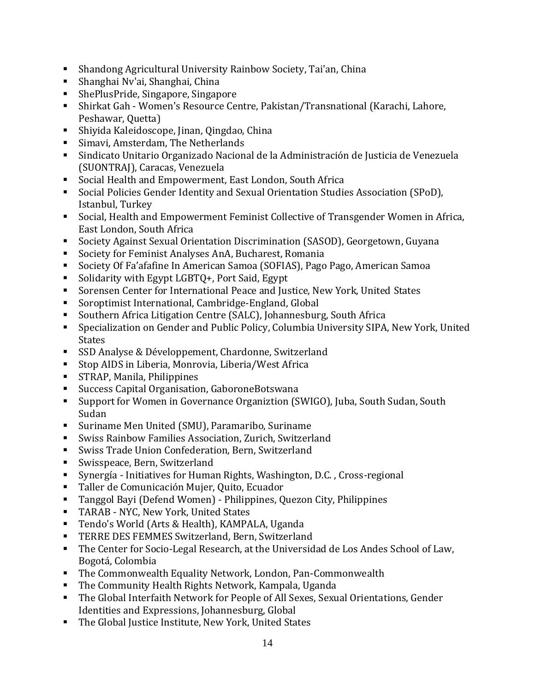- Shandong Agricultural University Rainbow Society, Tai'an, China
- Shanghai Nv'ai, Shanghai, China
- ShePlusPride, Singapore, Singapore
- Shirkat Gah Women's Resource Centre, Pakistan/Transnational (Karachi, Lahore, Peshawar, Quetta)
- Shiyida Kaleidoscope, Jinan, Qingdao, China
- Simavi, Amsterdam, The Netherlands
- Sindicato Unitario Organizado Nacional de la Administración de Justicia de Venezuela (SUONTRAJ), Caracas, Venezuela
- Social Health and Empowerment, East London, South Africa
- Social Policies Gender Identity and Sexual Orientation Studies Association (SPoD), Istanbul, Turkey
- Social, Health and Empowerment Feminist Collective of Transgender Women in Africa, East London, South Africa
- Society Against Sexual Orientation Discrimination (SASOD), Georgetown, Guyana
- Society for Feminist Analyses AnA, Bucharest, Romania
- Society Of Fa'afafine In American Samoa (SOFIAS), Pago Pago, American Samoa
- Solidarity with Egypt LGBTQ+, Port Said, Egypt
- Sorensen Center for International Peace and Justice, New York, United States
- Soroptimist International, Cambridge-England, Global
- Southern Africa Litigation Centre (SALC), Johannesburg, South Africa
- Specialization on Gender and Public Policy, Columbia University SIPA, New York, United States
- SSD Analyse & Développement, Chardonne, Switzerland
- Stop AIDS in Liberia, Monrovia, Liberia/West Africa
- STRAP, Manila, Philippines
- Success Capital Organisation, GaboroneBotswana
- Support for Women in Governance Organiztion (SWIGO), Juba, South Sudan, South Sudan
- Suriname Men United (SMU), Paramaribo, Suriname
- Swiss Rainbow Families Association, Zurich, Switzerland
- Swiss Trade Union Confederation, Bern, Switzerland
- Swisspeace, Bern, Switzerland
- Synergía Initiatives for Human Rights, Washington, D.C. , Cross-regional
- Taller de Comunicación Mujer, Quito, Ecuador
- Tanggol Bayi (Defend Women) Philippines, Quezon City, Philippines
- TARAB NYC, New York, United States
- Tendo's World (Arts & Health), KAMPALA, Uganda
- TERRE DES FEMMES Switzerland, Bern, Switzerland
- The Center for Socio-Legal Research, at the Universidad de Los Andes School of Law, Bogotá, Colombia
- The Commonwealth Equality Network, London, Pan-Commonwealth
- The Community Health Rights Network, Kampala, Uganda
- The Global Interfaith Network for People of All Sexes, Sexual Orientations, Gender Identities and Expressions, Johannesburg, Global
- The Global Justice Institute, New York, United States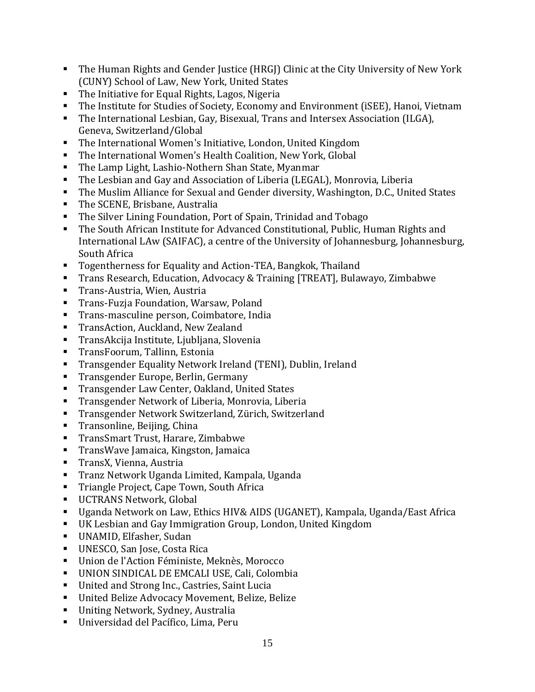- The Human Rights and Gender Justice (HRGJ) Clinic at the City University of New York (CUNY) School of Law, New York, United States
- The Initiative for Equal Rights, Lagos, Nigeria
- The Institute for Studies of Society, Economy and Environment (iSEE), Hanoi, Vietnam
- The International Lesbian, Gay, Bisexual, Trans and Intersex Association (ILGA), Geneva, Switzerland/Global
- The International Women's Initiative, London, United Kingdom
- The International Women's Health Coalition, New York, Global
- The Lamp Light, Lashio-Nothern Shan State, Myanmar
- The Lesbian and Gay and Association of Liberia (LEGAL), Monrovia, Liberia
- The Muslim Alliance for Sexual and Gender diversity, Washington, D.C., United States
- The SCENE, Brisbane, Australia
- The Silver Lining Foundation, Port of Spain, Trinidad and Tobago
- The South African Institute for Advanced Constitutional, Public, Human Rights and International LAw (SAIFAC), a centre of the University of Johannesburg, Johannesburg, South Africa
- Togentherness for Equality and Action-TEA, Bangkok, Thailand
- Trans Research, Education, Advocacy & Training [TREAT], Bulawayo, Zimbabwe
- Trans-Austria, Wien, Austria
- Trans-Fuzja Foundation, Warsaw, Poland
- Trans-masculine person, Coimbatore, India
- **TransAction, Auckland, New Zealand**
- TransAkcija Institute, Ljubljana, Slovenia
- TransFoorum, Tallinn, Estonia
- Transgender Equality Network Ireland (TENI), Dublin, Ireland
- Transgender Europe, Berlin, Germany
- Transgender Law Center, Oakland, United States
- Transgender Network of Liberia, Monrovia, Liberia
- Transgender Network Switzerland, Zürich, Switzerland
- Transonline, Beijing, China
- TransSmart Trust, Harare, Zimbabwe
- TransWave Jamaica, Kingston, Jamaica
- TransX, Vienna, Austria
- Tranz Network Uganda Limited, Kampala, Uganda
- **Triangle Project, Cape Town, South Africa**
- **UCTRANS Network, Global**
- Uganda Network on Law, Ethics HIV& AIDS (UGANET), Kampala, Uganda/East Africa
- UK Lesbian and Gay Immigration Group, London, United Kingdom
- UNAMID, Elfasher, Sudan
- UNESCO, San Jose, Costa Rica
- Union de l'Action Féministe, Meknès, Morocco
- UNION SINDICAL DE EMCALI USE, Cali, Colombia
- United and Strong Inc., Castries, Saint Lucia
- United Belize Advocacy Movement, Belize, Belize
- Uniting Network, Sydney, Australia
- Universidad del Pacífico, Lima, Peru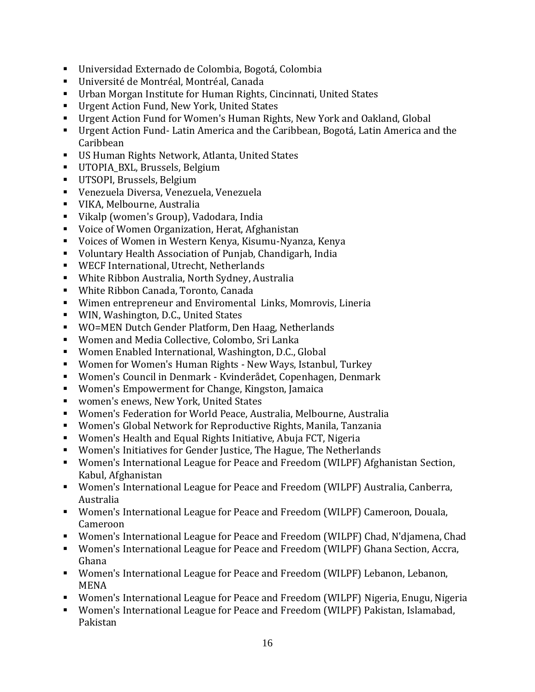- Universidad Externado de Colombia, Bogotá, Colombia
- Université de Montréal, Montréal, Canada
- Urban Morgan Institute for Human Rights, Cincinnati, United States
- Urgent Action Fund, New York, United States
- Urgent Action Fund for Women's Human Rights, New York and Oakland, Global
- Urgent Action Fund- Latin America and the Caribbean, Bogotá, Latin America and the Caribbean
- US Human Rights Network, Atlanta, United States
- **•** UTOPIA BXL, Brussels, Belgium
- UTSOPI, Brussels, Belgium
- Venezuela Diversa, Venezuela, Venezuela
- VIKA, Melbourne, Australia
- Vikalp (women's Group), Vadodara, India
- Voice of Women Organization, Herat, Afghanistan
- Voices of Women in Western Kenya, Kisumu-Nyanza, Kenya
- Voluntary Health Association of Punjab, Chandigarh, India
- WECF International, Utrecht, Netherlands
- White Ribbon Australia, North Sydney, Australia
- White Ribbon Canada, Toronto, Canada
- Wimen entrepreneur and Enviromental Links, Momrovis, Lineria
- WIN, Washington, D.C., United States
- WO=MEN Dutch Gender Platform, Den Haag, Netherlands
- Women and Media Collective, Colombo, Sri Lanka
- Women Enabled International, Washington, D.C., Global
- Women for Women's Human Rights New Ways, Istanbul, Turkey
- Women's Council in Denmark Kvinderådet, Copenhagen, Denmark
- Women's Empowerment for Change, Kingston, Jamaica
- women's enews, New York, United States
- Women's Federation for World Peace, Australia, Melbourne, Australia
- Women's Global Network for Reproductive Rights, Manila, Tanzania
- Women's Health and Equal Rights Initiative, Abuja FCT, Nigeria
- Women's Initiatives for Gender Justice, The Hague, The Netherlands
- Women's International League for Peace and Freedom (WILPF) Afghanistan Section, Kabul, Afghanistan
- Women's International League for Peace and Freedom (WILPF) Australia, Canberra, Australia
- Women's International League for Peace and Freedom (WILPF) Cameroon, Douala, Cameroon
- Women's International League for Peace and Freedom (WILPF) Chad, N'djamena, Chad
- Women's International League for Peace and Freedom (WILPF) Ghana Section, Accra, Ghana
- Women's International League for Peace and Freedom (WILPF) Lebanon, Lebanon, MENA
- Women's International League for Peace and Freedom (WILPF) Nigeria, Enugu, Nigeria
- Women's International League for Peace and Freedom (WILPF) Pakistan, Islamabad, Pakistan